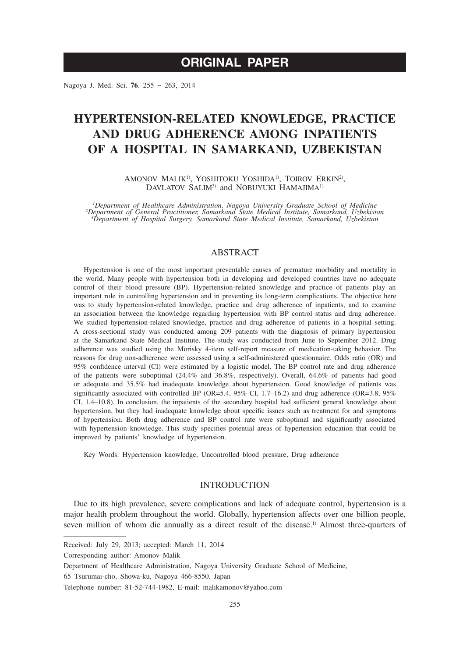Nagoya J. Med. Sci. **76**. 255 ~ 263, 2014

# **HYPERTENSION-RELATED KNOWLEDGE, PRACTICE AND DRUG ADHERENCE AMONG INPATIENTS OF A HOSPITAL IN SAMARKAND, UZBEKISTAN**

AMONOV MALIK<sup>1)</sup>, YOSHITOKU YOSHIDA<sup>1)</sup>, TOIROV ERKIN<sup>2</sup><sup>)</sup>, DAVLATOV SALIM<sup>3)</sup> and NOBUYUKI HAMAJIMA<sup>1)</sup>

<sup>1</sup>Department of Healthcare Administration, Nagoya University Graduate School of Medicine<br><sup>2</sup>Department of General Practitioner, Samarkand State Medical Institute, Samarkand, Uzbekistan<br><sup>3</sup>Department of Hospital Surgery, S

## ABSTRACT

Hypertension is one of the most important preventable causes of premature morbidity and mortality in the world. Many people with hypertension both in developing and developed countries have no adequate control of their blood pressure (BP). Hypertension-related knowledge and practice of patients play an important role in controlling hypertension and in preventing its long-term complications. The objective here was to study hypertension-related knowledge, practice and drug adherence of inpatients, and to examine an association between the knowledge regarding hypertension with BP control status and drug adherence. We studied hypertension-related knowledge, practice and drug adherence of patients in a hospital setting. A cross-sectional study was conducted among 209 patients with the diagnosis of primary hypertension at the Samarkand State Medical Institute. The study was conducted from June to September 2012. Drug adherence was studied using the Morisky 4-item self-report measure of medication-taking behavior. The reasons for drug non-adherence were assessed using a self-administered questionnaire. Odds ratio (OR) and 95% confidence interval (CI) were estimated by a logistic model. The BP control rate and drug adherence of the patients were suboptimal (24.4% and 36.8%, respectively). Overall, 64.6% of patients had good or adequate and 35.5% had inadequate knowledge about hypertension. Good knowledge of patients was significantly associated with controlled BP (OR=5.4, 95% CI, 1.7–16.2) and drug adherence (OR=3.8, 95% CI, 1.4–10.8). In conclusion, the inpatients of the secondary hospital had sufficient general knowledge about hypertension, but they had inadequate knowledge about specific issues such as treatment for and symptoms of hypertension. Both drug adherence and BP control rate were suboptimal and significantly associated with hypertension knowledge. This study specifies potential areas of hypertension education that could be improved by patients' knowledge of hypertension.

Key Words: Hypertension knowledge, Uncontrolled blood pressure, Drug adherence

## **INTRODUCTION**

Due to its high prevalence, severe complications and lack of adequate control, hypertension is a major health problem throughout the world. Globally, hypertension affects over one billion people, seven million of whom die annually as a direct result of the disease.<sup>1)</sup> Almost three-quarters of

Received: July 29, 2013; accepted: March 11, 2014

Corresponding author: Amonov Malik

Department of Healthcare Administration, Nagoya University Graduate School of Medicine,

<sup>65</sup> Tsurumai-cho, Showa-ku, Nagoya 466-8550, Japan

Telephone number: 81-52-744-1982, E-mail: malikamonov@yahoo.com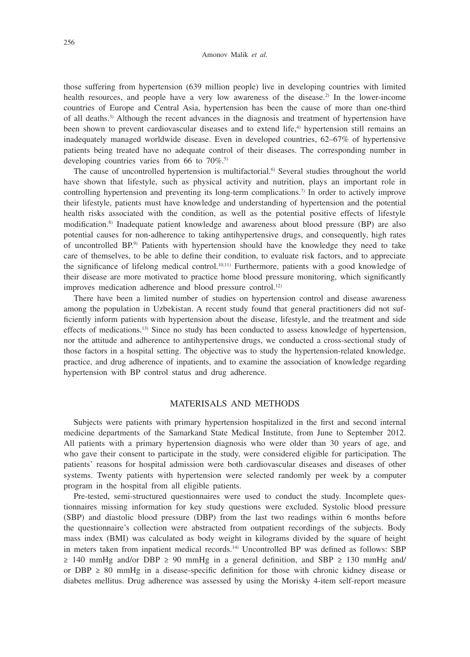those suffering from hypertension (639 million people) live in developing countries with limited health resources, and people have a very low awareness of the disease.<sup>2)</sup> In the lower-income countries of Europe and Central Asia, hypertension has been the cause of more than one-third of all deaths.3) Although the recent advances in the diagnosis and treatment of hypertension have been shown to prevent cardiovascular diseases and to extend life,<sup>4)</sup> hypertension still remains an inadequately managed worldwide disease. Even in developed countries, 62–67% of hypertensive patients being treated have no adequate control of their diseases. The corresponding number in developing countries varies from 66 to  $70\%$ .<sup>5)</sup>

The cause of uncontrolled hypertension is multifactorial.<sup>6)</sup> Several studies throughout the world have shown that lifestyle, such as physical activity and nutrition, plays an important role in controlling hypertension and preventing its long-term complications.7) In order to actively improve their lifestyle, patients must have knowledge and understanding of hypertension and the potential health risks associated with the condition, as well as the potential positive effects of lifestyle modification.8) Inadequate patient knowledge and awareness about blood pressure (BP) are also potential causes for non-adherence to taking antihypertensive drugs, and consequently, high rates of uncontrolled BP.9) Patients with hypertension should have the knowledge they need to take care of themselves, to be able to define their condition, to evaluate risk factors, and to appreciate the significance of lifelong medical control.<sup>10,11)</sup> Furthermore, patients with a good knowledge of their disease are more motivated to practice home blood pressure monitoring, which significantly improves medication adherence and blood pressure control.<sup>12)</sup>

There have been a limited number of studies on hypertension control and disease awareness among the population in Uzbekistan. A recent study found that general practitioners did not sufficiently inform patients with hypertension about the disease, lifestyle, and the treatment and side effects of medications.13) Since no study has been conducted to assess knowledge of hypertension, nor the attitude and adherence to antihypertensive drugs, we conducted a cross-sectional study of those factors in a hospital setting. The objective was to study the hypertension-related knowledge, practice, and drug adherence of inpatients, and to examine the association of knowledge regarding hypertension with BP control status and drug adherence.

#### MATERISALS AND METHODS

Subjects were patients with primary hypertension hospitalized in the first and second internal medicine departments of the Samarkand State Medical Institute, from June to September 2012. All patients with a primary hypertension diagnosis who were older than 30 years of age, and who gave their consent to participate in the study, were considered eligible for participation. The patients' reasons for hospital admission were both cardiovascular diseases and diseases of other systems. Twenty patients with hypertension were selected randomly per week by a computer program in the hospital from all eligible patients.

Pre-tested, semi-structured questionnaires were used to conduct the study. Incomplete questionnaires missing information for key study questions were excluded. Systolic blood pressure (SBP) and diastolic blood pressure (DBP) from the last two readings within 6 months before the questionnaire's collection were abstracted from outpatient recordings of the subjects. Body mass index (BMI) was calculated as body weight in kilograms divided by the square of height in meters taken from inpatient medical records.14) Uncontrolled BP was defined as follows: SBP  $≥ 140$  mmHg and/or DBP  $≥ 90$  mmHg in a general definition, and SBP  $≥ 130$  mmHg and/ or DBP  $\geq$  80 mmHg in a disease-specific definition for those with chronic kidney disease or diabetes mellitus. Drug adherence was assessed by using the Morisky 4-item self-report measure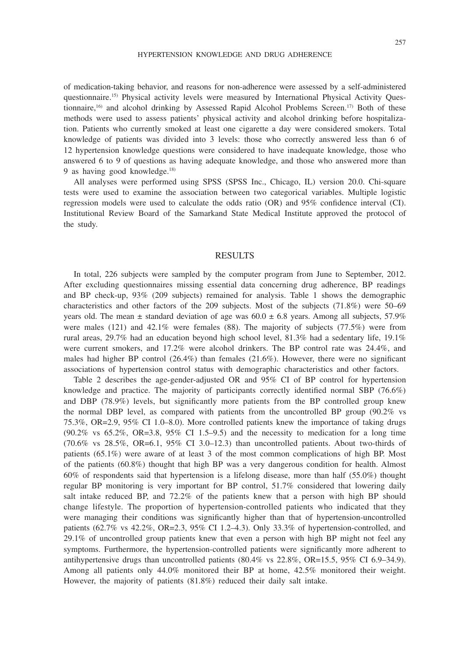of medication-taking behavior, and reasons for non-adherence were assessed by a self-administered questionnaire.15) Physical activity levels were measured by International Physical Activity Questionnaire,<sup>16)</sup> and alcohol drinking by Assessed Rapid Alcohol Problems Screen.<sup>17)</sup> Both of these methods were used to assess patients' physical activity and alcohol drinking before hospitalization. Patients who currently smoked at least one cigarette a day were considered smokers. Total knowledge of patients was divided into 3 levels: those who correctly answered less than 6 of 12 hypertension knowledge questions were considered to have inadequate knowledge, those who answered 6 to 9 of questions as having adequate knowledge, and those who answered more than

9 as having good knowledge.<sup>18)</sup>

All analyses were performed using SPSS (SPSS Inc., Chicago, IL) version 20.0. Chi-square tests were used to examine the association between two categorical variables. Multiple logistic regression models were used to calculate the odds ratio (OR) and 95% confidence interval (CI). Institutional Review Board of the Samarkand State Medical Institute approved the protocol of the study.

#### RESULTS

In total, 226 subjects were sampled by the computer program from June to September, 2012. After excluding questionnaires missing essential data concerning drug adherence, BP readings and BP check-up, 93% (209 subjects) remained for analysis. Table 1 shows the demographic characteristics and other factors of the 209 subjects. Most of the subjects (71.8%) were 50–69 years old. The mean  $\pm$  standard deviation of age was 60.0  $\pm$  6.8 years. Among all subjects, 57.9% were males (121) and 42.1% were females (88). The majority of subjects (77.5%) were from rural areas, 29.7% had an education beyond high school level, 81.3% had a sedentary life, 19.1% were current smokers, and 17.2% were alcohol drinkers. The BP control rate was 24.4%, and males had higher BP control  $(26.4\%)$  than females  $(21.6\%)$ . However, there were no significant associations of hypertension control status with demographic characteristics and other factors.

Table 2 describes the age-gender-adjusted OR and 95% CI of BP control for hypertension knowledge and practice. The majority of participants correctly identified normal SBP (76.6%) and DBP (78.9%) levels, but significantly more patients from the BP controlled group knew the normal DBP level, as compared with patients from the uncontrolled BP group (90.2% vs 75.3%, OR=2.9, 95% CI 1.0–8.0). More controlled patients knew the importance of taking drugs  $(90.2\% \text{ vs } 65.2\%, \text{ OR} = 3.8, 95\% \text{ CI } 1.5-9.5)$  and the necessity to medication for a long time  $(70.6\%$  vs  $28.5\%$ , OR=6.1, 95% CI 3.0–12.3) than uncontrolled patients. About two-thirds of patients (65.1%) were aware of at least 3 of the most common complications of high BP. Most of the patients (60.8%) thought that high BP was a very dangerous condition for health. Almost 60% of respondents said that hypertension is a lifelong disease, more than half (55.0%) thought regular BP monitoring is very important for BP control, 51.7% considered that lowering daily salt intake reduced BP, and 72.2% of the patients knew that a person with high BP should change lifestyle. The proportion of hypertension-controlled patients who indicated that they were managing their conditions was significantly higher than that of hypertension-uncontrolled patients (62.7% vs 42.2%, OR=2.3, 95% CI 1.2–4.3). Only 33.3% of hypertension-controlled, and 29.1% of uncontrolled group patients knew that even a person with high BP might not feel any symptoms. Furthermore, the hypertension-controlled patients were significantly more adherent to antihypertensive drugs than uncontrolled patients (80.4% vs 22.8%, OR=15.5, 95% CI 6.9–34.9). Among all patients only 44.0% monitored their BP at home, 42.5% monitored their weight. However, the majority of patients (81.8%) reduced their daily salt intake.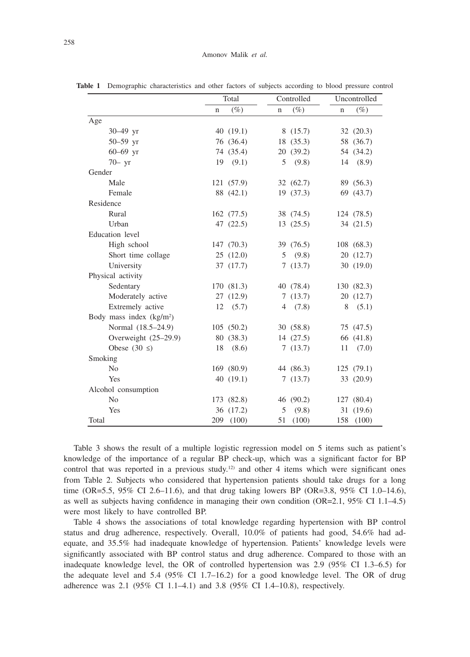|                           |     | Total      |             | Controlled | Uncontrolled |            |  |
|---------------------------|-----|------------|-------------|------------|--------------|------------|--|
|                           | n   | $(\%)$     | $\mathbf n$ | $(\%)$     | $\mathbf n$  | $(\%)$     |  |
| Age                       |     |            |             |            |              |            |  |
| 30-49 yr                  |     | 40(19.1)   |             | 8(15.7)    |              | 32 (20.3)  |  |
| 50-59 yr                  |     | 76 (36.4)  |             | 18 (35.3)  |              | 58 (36.7)  |  |
| $60 - 69$ yr              |     | 74 (35.4)  |             | 20 (39.2)  |              | 54 (34.2)  |  |
| $70 - yr$                 | 19  | (9.1)      | 5           | (9.8)      |              | 14 (8.9)   |  |
| Gender                    |     |            |             |            |              |            |  |
| Male                      |     | 121 (57.9) |             | 32 (62.7)  |              | 89 (56.3)  |  |
| Female                    |     | 88 (42.1)  |             | 19 (37.3)  |              | 69 (43.7)  |  |
| Residence                 |     |            |             |            |              |            |  |
| Rural                     |     | 162 (77.5) |             | 38 (74.5)  |              | 124 (78.5) |  |
| Urban                     |     | 47 (22.5)  |             | 13(25.5)   |              | 34 (21.5)  |  |
| Education level           |     |            |             |            |              |            |  |
| High school               |     | 147 (70.3) |             | 39 (76.5)  |              | 108 (68.3) |  |
| Short time collage        |     | 25(12.0)   | 5           | (9.8)      |              | 20 (12.7)  |  |
| University                |     | 37 (17.7)  |             | 7(13.7)    |              | 30(19.0)   |  |
| Physical activity         |     |            |             |            |              |            |  |
| Sedentary                 |     | 170 (81.3) |             | 40 (78.4)  |              | 130 (82.3) |  |
| Moderately active         |     | 27 (12.9)  |             | 7(13.7)    |              | 20 (12.7)  |  |
| Extremely active          | 12  | (5.7)      | 4           | (7.8)      | 8            | (5.1)      |  |
| Body mass index $(kg/m2)$ |     |            |             |            |              |            |  |
| Normal (18.5–24.9)        |     | 105(50.2)  |             | 30(58.8)   |              | 75 (47.5)  |  |
| Overweight (25-29.9)      |     | 80 (38.3)  |             | 14(27.5)   |              | 66 (41.8)  |  |
| Obese $(30 \leq)$         | 18  | (8.6)      |             | 7(13.7)    | 11           | (7.0)      |  |
| Smoking                   |     |            |             |            |              |            |  |
| N <sub>o</sub>            |     | 169 (80.9) |             | 44 (86.3)  |              | 125(79.1)  |  |
| Yes                       |     | 40(19.1)   |             | 7(13.7)    |              | 33 (20.9)  |  |
| Alcohol consumption       |     |            |             |            |              |            |  |
| N <sub>o</sub>            |     | 173 (82.8) |             | 46 (90.2)  |              | 127 (80.4) |  |
| Yes                       |     | 36 (17.2)  | 5           | (9.8)      | 31           | (19.6)     |  |
| Total                     | 209 | (100)      | 51          | (100)      | 158          | (100)      |  |

**Table 1** Demographic characteristics and other factors of subjects according to blood pressure control

Table 3 shows the result of a multiple logistic regression model on 5 items such as patient's knowledge of the importance of a regular BP check-up, which was a significant factor for BP control that was reported in a previous study.<sup>12</sup> and other 4 items which were significant ones from Table 2. Subjects who considered that hypertension patients should take drugs for a long time (OR=5.5, 95% CI 2.6–11.6), and that drug taking lowers BP (OR=3.8, 95% CI 1.0–14.6), as well as subjects having confidence in managing their own condition (OR=2.1, 95% CI 1.1–4.5) were most likely to have controlled BP.

Table 4 shows the associations of total knowledge regarding hypertension with BP control status and drug adherence, respectively. Overall, 10.0% of patients had good, 54.6% had adequate, and 35.5% had inadequate knowledge of hypertension. Patients' knowledge levels were significantly associated with BP control status and drug adherence. Compared to those with an inadequate knowledge level, the OR of controlled hypertension was 2.9 (95% CI 1.3–6.5) for the adequate level and 5.4 (95% CI 1.7–16.2) for a good knowledge level. The OR of drug adherence was 2.1 (95% CI 1.1–4.1) and 3.8 (95% CI 1.4–10.8), respectively.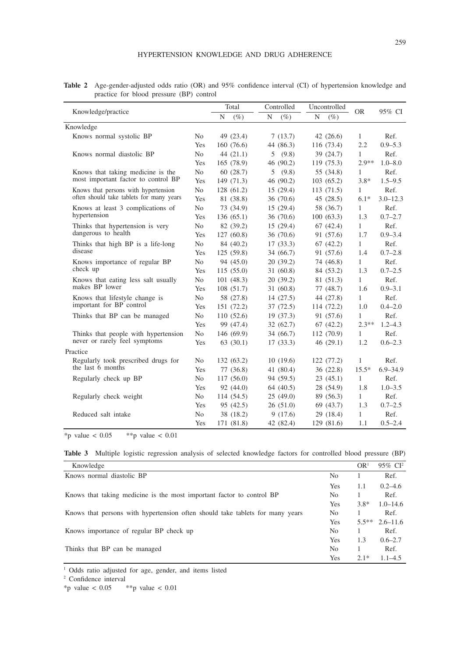| <b>Table 2</b> Age-gender-adjusted odds ratio (OR) and 95% confidence interval (CI) of hypertension knowledge and |  |  |  |  |
|-------------------------------------------------------------------------------------------------------------------|--|--|--|--|
| practice for blood pressure (BP) control                                                                          |  |  |  |  |

|                                          |                |   | Total      | Controlled |             | Uncontrolled |                     |              | 95% CI       |  |
|------------------------------------------|----------------|---|------------|------------|-------------|--------------|---------------------|--------------|--------------|--|
| Knowledge/practice                       |                | N | $(\%)$     | N          | $(\%)$      | N            | <b>OR</b><br>$(\%)$ |              |              |  |
| Knowledge                                |                |   |            |            |             |              |                     |              |              |  |
| Knows normal systolic BP                 | No             |   | 49 (23.4)  |            | 7(13.7)     |              | 42(26.6)            | $\mathbf{1}$ | Ref.         |  |
|                                          | Yes            |   | 160(76.6)  |            | 44 (86.3)   |              | 116 (73.4)          | 2.2          | $0.9 - 5.3$  |  |
| Knows normal diastolic BP                | N <sub>o</sub> |   | 44(21.1)   |            | 5(9.8)      |              | 39(24.7)            | $\mathbf{1}$ | Ref.         |  |
|                                          | Yes            |   | 165(78.9)  |            | 46 (90.2)   |              | 119(75.3)           | $2.9**$      | $1.0 - 8.0$  |  |
| Knows that taking medicine is the        | N <sub>0</sub> |   | 60(28.7)   |            | 5(9.8)      |              | 55 (34.8)           | $\mathbf{1}$ | Ref.         |  |
| most important factor to control BP      | Yes            |   | 149(71.3)  |            | 46 (90.2)   |              | 103(65.2)           | $3.8*$       | $1.5 - 9.5$  |  |
| Knows that persons with hypertension     | N <sub>o</sub> |   | 128(61.2)  |            | 15(29.4)    |              | 113(71.5)           | $\mathbf{1}$ | Ref.         |  |
| often should take tablets for many years | Yes            |   | 81 (38.8)  |            | 36(70.6)    |              | 45(28.5)            | $6.1*$       | $3.0 - 12.3$ |  |
| Knows at least 3 complications of        | No             |   | 73 (34.9)  |            | 15(29.4)    |              | 58 (36.7)           | 1            | Ref.         |  |
| hypertension                             | Yes            |   | 136(65.1)  |            | 36(70.6)    |              | 100(63.3)           | 1.3          | $0.7 - 2.7$  |  |
| Thinks that hypertension is very         | N <sub>o</sub> |   | 82 (39.2)  |            | 15(29.4)    |              | 67(42.4)            | 1            | Ref.         |  |
| dangerous to health                      | Yes            |   | 127(60.8)  |            | 36 (70.6)   |              | 91 (57.6)           | 1.7          | $0.9 - 3.4$  |  |
| Thinks that high BP is a life-long       | No             |   | 84 (40.2)  |            | 17(33.3)    |              | 67(42.2)            | 1            | Ref.         |  |
| disease                                  | Yes            |   | 125(59.8)  |            | 34(66.7)    |              | 91 (57.6)           | 1.4          | $0.7 - 2.8$  |  |
| Knows importance of regular BP           | No.            |   | 94 (45.0)  |            | 20(39.2)    |              | 74 (46.8)           | 1            | Ref.         |  |
| check up                                 | Yes            |   | 115(55.0)  |            | 31(60.8)    |              | 84 (53.2)           | 1.3          | $0.7 - 2.5$  |  |
| Knows that eating less salt usually      | No             |   | 101(48.3)  |            | 20(39.2)    |              | 81 (51.3)           | 1            | Ref.         |  |
| makes BP lower                           | Yes            |   | 108(51.7)  |            | 31(60.8)    |              | 77(48.7)            | 1.6          | $0.9 - 3.1$  |  |
| Knows that lifestyle change is           | N <sub>o</sub> |   | 58 (27.8)  |            | 14(27.5)    |              | 44 (27.8)           | 1            | Ref.         |  |
| important for BP control                 | Yes            |   | 151 (72.2) |            | 37(72.5)    |              | 114 (72.2)          | 1.0          | $0.4 - 2.0$  |  |
| Thinks that BP can be managed            | No             |   | 110(52.6)  |            | 19(37.3)    |              | 91 (57.6)           | $\mathbf{1}$ | Ref.         |  |
|                                          | Yes            |   | 99 (47.4)  |            | 32(62.7)    |              | 67(42.2)            | $2.3**$      | $1.2 - 4.3$  |  |
| Thinks that people with hypertension     | No.            |   | 146(69.9)  |            | 34(66.7)    |              | 112(70.9)           | $\mathbf{1}$ | Ref.         |  |
| never or rarely feel symptoms            | Yes            |   | 63(30.1)   |            | 17(33.3)    |              | 46(29.1)            | 1.2          | $0.6 - 2.3$  |  |
| Practice                                 |                |   |            |            |             |              |                     |              |              |  |
| Regularly took prescribed drugs for      | No             |   | 132(63.2)  |            | 10(19.6)    |              | 122(77.2)           | 1            | Ref.         |  |
| the last 6 months                        | Yes            |   | 77 (36.8)  |            | 41 $(80.4)$ |              | 36(22.8)            | $15.5*$      | $6.9 - 34.9$ |  |
| Regularly check up BP                    | No.            |   | 117(56.0)  |            | 94 (59.5)   |              | 23(45.1)            | $\mathbf{1}$ | Ref.         |  |
|                                          | Yes            |   | 92 (44.0)  |            | 64(40.5)    |              | 28 (54.9)           | 1.8          | $1.0 - 3.5$  |  |
| Regularly check weight                   | No.            |   | 114 (54.5) |            | 25(49.0)    |              | 89 (56.3)           | $\mathbf{1}$ | Ref.         |  |
|                                          | Yes            |   | 95 (42.5)  |            | 26(51.0)    |              | 69(43.7)            | 1.3          | $0.7 - 2.5$  |  |
| Reduced salt intake                      | N <sub>o</sub> |   | 38 (18.2)  |            | 9(17.6)     |              | 29 (18.4)           | $\mathbf{1}$ | Ref.         |  |
|                                          | Yes            |   | 171 (81.8) |            | 42 (82.4)   |              | 129 (81.6)          | 1.1          | $0.5 - 2.4$  |  |

\*p value <  $0.05$  \*\*p value <  $0.01$ 

|  |  |  | <b>Table 3</b> Multiple logistic regression analysis of selected knowledge factors for controlled blood pressure (BP) |  |  |  |
|--|--|--|-----------------------------------------------------------------------------------------------------------------------|--|--|--|
|  |  |  |                                                                                                                       |  |  |  |

| Knowledge                                                                     |                | OR <sup>1</sup> | 95% CI <sup>2</sup> |
|-------------------------------------------------------------------------------|----------------|-----------------|---------------------|
| Knows normal diastolic BP                                                     | No             |                 | Ref.                |
|                                                                               | Yes            | 1.1             | $0.2 - 4.6$         |
| Knows that taking medicine is the most important factor to control BP         | No.            |                 | Ref.                |
|                                                                               | Yes            | $3.8*$          | $1.0 - 14.6$        |
| Knows that persons with hypertension often should take tablets for many years | N <sub>0</sub> |                 | Ref.                |
|                                                                               | Yes            | $5.5**$         | $2.6 - 11.6$        |
| Knows importance of regular BP check up                                       | No             |                 | Ref.                |
|                                                                               | Yes            | 1.3             | $0.6 - 2.7$         |
| Thinks that BP can be managed                                                 | No             |                 | Ref.                |
|                                                                               | Yes            | $2.1*$          | $1.1 - 4.5$         |

<sup>1</sup> Odds ratio adjusted for age, gender, and items listed

2 Confidence interval

\*p value  $< 0.05$  \*\*p value  $< 0.01$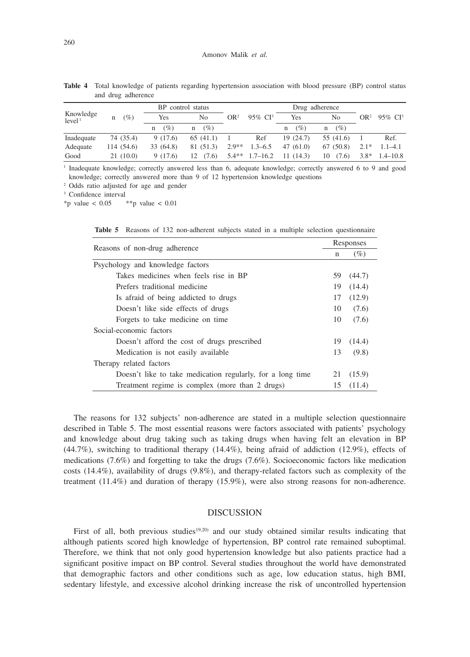|                                 |             | BP control status |             |                 |                     | Drug adherence |             |                 |              |
|---------------------------------|-------------|-------------------|-------------|-----------------|---------------------|----------------|-------------|-----------------|--------------|
| Knowledge<br>level <sup>1</sup> | $(\%)$<br>n | Yes               | No          | OR <sup>2</sup> | 95% CI <sup>3</sup> | Yes            | No          | OR <sup>2</sup> | 95\% $CI3$   |
|                                 |             | (%)<br>n          | (%)<br>n    |                 |                     | (%)<br>n       | (%)<br>n    |                 |              |
| Inadequate                      | 74 (35.4)   | 9(17.6)           | 65(41.1)    |                 | Ref                 | 19(24.7)       | 55 (41.6)   |                 | Ref.         |
| Adequate                        | 114 (54.6)  | 33 (64.8)         | 81 (51.3)   | $2.9**$         | $1.3 - 6.5$         | 47(61.0)       | 67 (50.8)   | $2.1*$          | $1.1 - 4.1$  |
| Good                            | 21(10.0)    | 9(17.6)           | (7.6)<br>12 | $5.4**$         | $1.7 - 16.2$        | 11(14.3)       | 10<br>(7.6) | $3.8*$          | $1.4 - 10.8$ |

**Table 4** Total knowledge of patients regarding hypertension association with blood pressure (BP) control status and drug adherence

<sup>1</sup> Inadequate knowledge; correctly answered less than 6, adequate knowledge; correctly answered 6 to 9 and good knowledge; correctly answered more than 9 of 12 hypertension knowledge questions

2 Odds ratio adjusted for age and gender

3 Confidence interval

\*p value <  $0.05$  \*\*p value <  $0.01$ 

| Reasons of non-drug adherence                              |    | Responses |  |  |  |
|------------------------------------------------------------|----|-----------|--|--|--|
|                                                            | n  | $(\%)$    |  |  |  |
| Psychology and knowledge factors                           |    |           |  |  |  |
| Takes medicines when feels rise in BP                      | 59 | (44.7)    |  |  |  |
| Prefers traditional medicine                               | 19 | (14.4)    |  |  |  |
| Is a fraid of being addicted to drugs                      | 17 | (12.9)    |  |  |  |
| Doesn't like side effects of drugs                         | 10 | (7.6)     |  |  |  |
| Forgets to take medicine on time                           | 10 | (7.6)     |  |  |  |
| Social-economic factors                                    |    |           |  |  |  |
| Doesn't afford the cost of drugs prescribed                | 19 | (14.4)    |  |  |  |
| Medication is not easily available                         | 13 | (9.8)     |  |  |  |
| Therapy related factors                                    |    |           |  |  |  |
| Doesn't like to take medication regularly, for a long time | 21 | (15.9)    |  |  |  |
| Treatment regime is complex (more than 2 drugs)            | 15 | (11.4)    |  |  |  |

**Table 5** Reasons of 132 non-adherent subjects stated in a multiple selection questionnaire

The reasons for 132 subjects' non-adherence are stated in a multiple selection questionnaire described in Table 5. The most essential reasons were factors associated with patients' psychology and knowledge about drug taking such as taking drugs when having felt an elevation in BP (44.7%), switching to traditional therapy (14.4%), being afraid of addiction (12.9%), effects of medications (7.6%) and forgetting to take the drugs (7.6%). Socioeconomic factors like medication costs (14.4%), availability of drugs (9.8%), and therapy-related factors such as complexity of the treatment (11.4%) and duration of therapy (15.9%), were also strong reasons for non-adherence.

### DISCUSSION

First of all, both previous studies<sup>19,20</sup> and our study obtained similar results indicating that although patients scored high knowledge of hypertension, BP control rate remained suboptimal. Therefore, we think that not only good hypertension knowledge but also patients practice had a significant positive impact on BP control. Several studies throughout the world have demonstrated that demographic factors and other conditions such as age, low education status, high BMI, sedentary lifestyle, and excessive alcohol drinking increase the risk of uncontrolled hypertension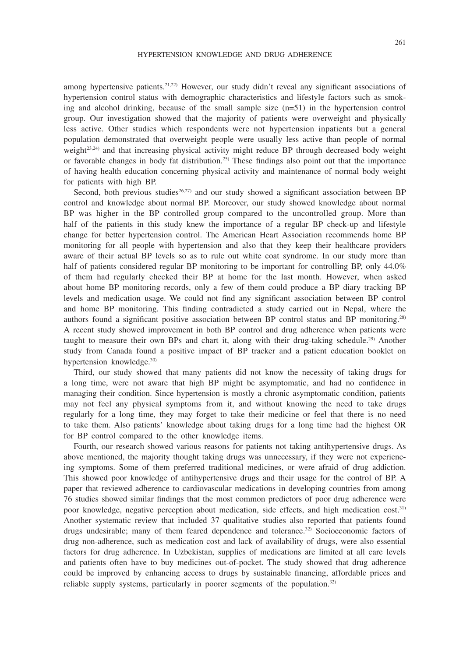among hypertensive patients.21,22) However, our study didn't reveal any significant associations of hypertension control status with demographic characteristics and lifestyle factors such as smoking and alcohol drinking, because of the small sample size (n=51) in the hypertension control group. Our investigation showed that the majority of patients were overweight and physically less active. Other studies which respondents were not hypertension inpatients but a general population demonstrated that overweight people were usually less active than people of normal weight $23,24$ ) and that increasing physical activity might reduce BP through decreased body weight or favorable changes in body fat distribution.25) These findings also point out that the importance of having health education concerning physical activity and maintenance of normal body weight for patients with high BP.

Second, both previous studies<sup>26,27)</sup> and our study showed a significant association between BP control and knowledge about normal BP. Moreover, our study showed knowledge about normal BP was higher in the BP controlled group compared to the uncontrolled group. More than half of the patients in this study knew the importance of a regular BP check-up and lifestyle change for better hypertension control. The American Heart Association recommends home BP monitoring for all people with hypertension and also that they keep their healthcare providers aware of their actual BP levels so as to rule out white coat syndrome. In our study more than half of patients considered regular BP monitoring to be important for controlling BP, only 44.0% of them had regularly checked their BP at home for the last month. However, when asked about home BP monitoring records, only a few of them could produce a BP diary tracking BP levels and medication usage. We could not find any significant association between BP control and home BP monitoring. This finding contradicted a study carried out in Nepal, where the authors found a significant positive association between BP control status and BP monitoring.<sup>28)</sup> A recent study showed improvement in both BP control and drug adherence when patients were taught to measure their own BPs and chart it, along with their drug-taking schedule.<sup>29)</sup> Another study from Canada found a positive impact of BP tracker and a patient education booklet on hypertension knowledge.<sup>30)</sup>

Third, our study showed that many patients did not know the necessity of taking drugs for a long time, were not aware that high BP might be asymptomatic, and had no confidence in managing their condition. Since hypertension is mostly a chronic asymptomatic condition, patients may not feel any physical symptoms from it, and without knowing the need to take drugs regularly for a long time, they may forget to take their medicine or feel that there is no need to take them. Also patients' knowledge about taking drugs for a long time had the highest OR for BP control compared to the other knowledge items.

Fourth, our research showed various reasons for patients not taking antihypertensive drugs. As above mentioned, the majority thought taking drugs was unnecessary, if they were not experiencing symptoms. Some of them preferred traditional medicines, or were afraid of drug addiction. This showed poor knowledge of antihypertensive drugs and their usage for the control of BP. A paper that reviewed adherence to cardiovascular medications in developing countries from among 76 studies showed similar findings that the most common predictors of poor drug adherence were poor knowledge, negative perception about medication, side effects, and high medication cost.31) Another systematic review that included 37 qualitative studies also reported that patients found drugs undesirable; many of them feared dependence and tolerance.<sup>32</sup> Socioeconomic factors of drug non-adherence, such as medication cost and lack of availability of drugs, were also essential factors for drug adherence. In Uzbekistan, supplies of medications are limited at all care levels and patients often have to buy medicines out-of-pocket. The study showed that drug adherence could be improved by enhancing access to drugs by sustainable financing, affordable prices and reliable supply systems, particularly in poorer segments of the population.32)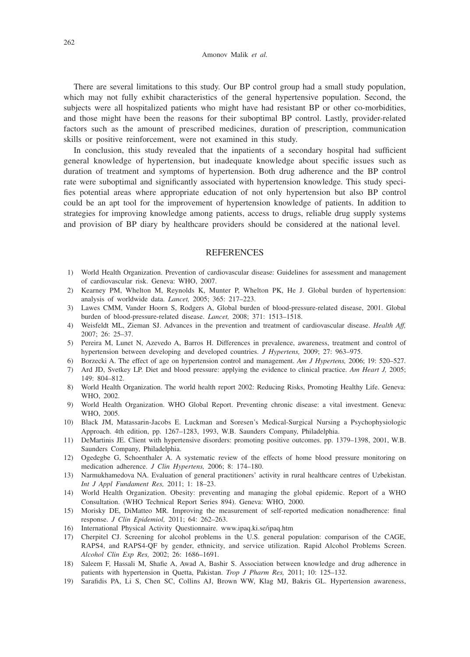There are several limitations to this study. Our BP control group had a small study population, which may not fully exhibit characteristics of the general hypertensive population. Second, the subjects were all hospitalized patients who might have had resistant BP or other co-morbidities, and those might have been the reasons for their suboptimal BP control. Lastly, provider-related factors such as the amount of prescribed medicines, duration of prescription, communication skills or positive reinforcement, were not examined in this study.

In conclusion, this study revealed that the inpatients of a secondary hospital had sufficient general knowledge of hypertension, but inadequate knowledge about specific issues such as duration of treatment and symptoms of hypertension. Both drug adherence and the BP control rate were suboptimal and significantly associated with hypertension knowledge. This study specifies potential areas where appropriate education of not only hypertension but also BP control could be an apt tool for the improvement of hypertension knowledge of patients. In addition to strategies for improving knowledge among patients, access to drugs, reliable drug supply systems and provision of BP diary by healthcare providers should be considered at the national level.

### **REFERENCES**

- 1) World Health Organization. Prevention of cardiovascular disease: Guidelines for assessment and management of cardiovascular risk. Geneva: WHO, 2007.
- 2) Kearney PM, Whelton M, Reynolds K, Munter P, Whelton PK, He J. Global burden of hypertension: analysis of worldwide data. *Lancet,* 2005; 365: 217–223.
- 3) Lawes CMM, Vander Hoorn S, Rodgers A, Global burden of blood-pressure-related disease, 2001. Global burden of blood-pressure-related disease. *Lancet,* 2008; 371: 1513–1518.
- 4) Weisfeldt ML, Zieman SJ. Advances in the prevention and treatment of cardiovascular disease. *Health Aff,* 2007; 26: 25–37.
- 5) Pereira M, Lunet N, Azevedo A, Barros H. Differences in prevalence, awareness, treatment and control of hypertension between developing and developed countries. *J Hypertens,* 2009; 27: 963–975.
- 6) Borzecki A. The effect of age on hypertension control and management. *Am J Hypertens,* 2006; 19: 520–527.
- 7) Ard JD, Svetkey LP. Diet and blood pressure: applying the evidence to clinical practice. *Am Heart J,* 2005; 149: 804–812.
- 8) World Health Organization. The world health report 2002: Reducing Risks, Promoting Healthy Life. Geneva: WHO, 2002.
- 9) World Health Organization. WHO Global Report. Preventing chronic disease: a vital investment. Geneva: WHO, 2005.
- 10) Black JM, Matassarin-Jacobs E. Luckman and Soresen's Medical-Surgical Nursing a Psychophysiologic Approach. 4th edition, pp. 1267–1283, 1993, W.B. Saunders Company, Philadelphia.
- 11) DeMartinis JE. Client with hypertensive disorders: promoting positive outcomes. pp. 1379–1398, 2001, W.B. Saunders Company, Philadelphia.
- 12) Ogedegbe G, Schoenthaler A. A systematic review of the effects of home blood pressure monitoring on medication adherence. *J Clin Hypertens,* 2006; 8: 174–180.
- 13) Narmukhamedova NA. Evaluation of general practitioners' activity in rural healthcare centres of Uzbekistan. *Int J Appl Fundament Res,* 2011; 1: 18–23.
- 14) World Health Organization. Obesity: preventing and managing the global epidemic. Report of a WHO Consultation. (WHO Technical Report Series 894). Geneva: WHO, 2000.
- 15) Morisky DE, DiMatteo MR. Improving the measurement of self-reported medication nonadherence: final response. *J Clin Epidemiol,* 2011; 64: 262–263.
- 16) International Physical Activity Questionnaire. www.ipaq.ki.se/ipaq.htm
- 17) Cherpitel CJ. Screening for alcohol problems in the U.S. general population: comparison of the CAGE, RAPS4, and RAPS4-QF by gender, ethnicity, and service utilization. Rapid Alcohol Problems Screen. *Alcohol Clin Exp Res,* 2002; 26: 1686–1691.
- 18) Saleem F, Hassali M, Shafie A, Awad A, Bashir S. Association between knowledge and drug adherence in patients with hypertension in Quetta, Pakistan. *Trop J Pharm Res,* 2011; 10: 125–132.
- 19) Sarafidis PA, Li S, Chen SC, Collins AJ, Brown WW, Klag MJ, Bakris GL. Hypertension awareness,